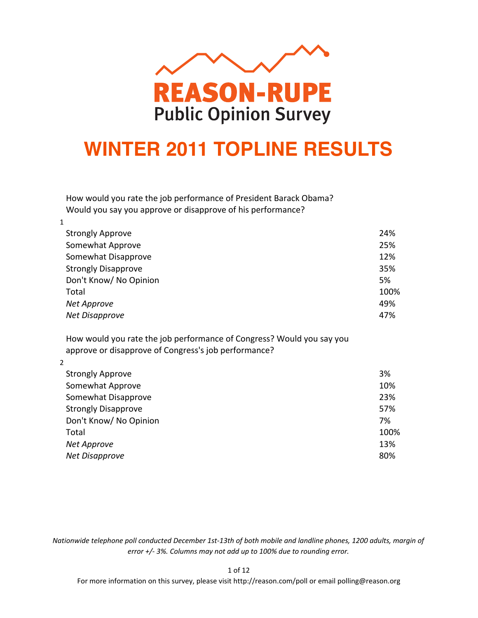

# **WINTER 2011 TOPLINE RESULTS**

How would you rate the job performance of President Barack Obama? Would you say you approve or disapprove of his performance?

| 24%  |
|------|
| 25%  |
| 12%  |
| 35%  |
| 5%   |
| 100% |
| 49%  |
| 47%  |
|      |

How would you rate the job performance of Congress? Would you say you approve or disapprove of Congress's job performance?

2

| 3%   |
|------|
| 10%  |
| 23%  |
| 57%  |
| 7%   |
| 100% |
| 13%  |
| 80%  |
|      |

*Nationwide telephone poll conducted December 1st-13th of both mobile and landline phones, 1200 adults, margin of error +/- 3%. Columns may not add up to 100% due to rounding error.* 

1 of 12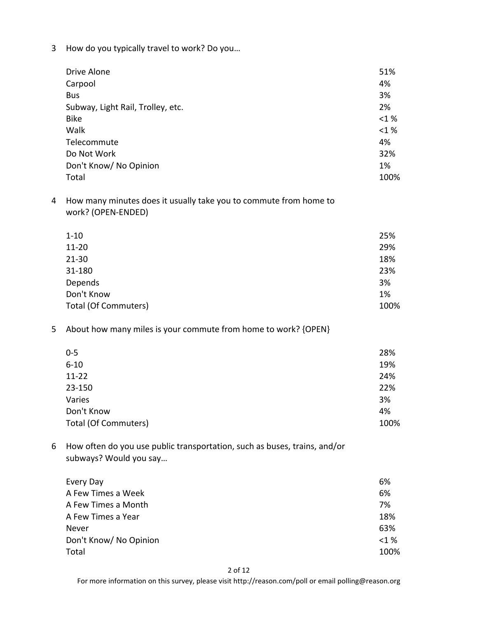3 How do you typically travel to work? Do you...

| Drive Alone                       | 51%      |
|-----------------------------------|----------|
| Carpool                           | 4%       |
| <b>Bus</b>                        | 3%       |
| Subway, Light Rail, Trolley, etc. | 2%       |
| <b>Bike</b>                       | $< 1 \%$ |
| Walk                              | <1%      |
| Telecommute                       | 4%       |
| Do Not Work                       | 32%      |
| Don't Know/ No Opinion            | 1%       |
| Total                             | 100%     |

4 How many minutes does it usually take you to commute from home to work? (OPEN-ENDED)

| $1 - 10$                    | 25%  |
|-----------------------------|------|
| $11 - 20$                   | 29%  |
| $21 - 30$                   | 18%  |
| 31-180                      | 23%  |
| Depends                     | 3%   |
| Don't Know                  | 1%   |
| <b>Total (Of Commuters)</b> | 100% |

5 About how many miles is your commute from home to work? {OPEN}

| $0 - 5$              | 28%  |
|----------------------|------|
| $6 - 10$             | 19%  |
| $11 - 22$            | 24%  |
| 23-150               | 22%  |
| Varies               | 3%   |
| Don't Know           | 4%   |
| Total (Of Commuters) | 100% |

6 How often do you use public transportation, such as buses, trains, and/or subways? Would you say...

| Every Day              | 6%      |
|------------------------|---------|
| A Few Times a Week     | 6%      |
| A Few Times a Month    | 7%      |
| A Few Times a Year     | 18%     |
| Never                  | 63%     |
| Don't Know/ No Opinion | $<$ 1 % |
| Total                  | 100%    |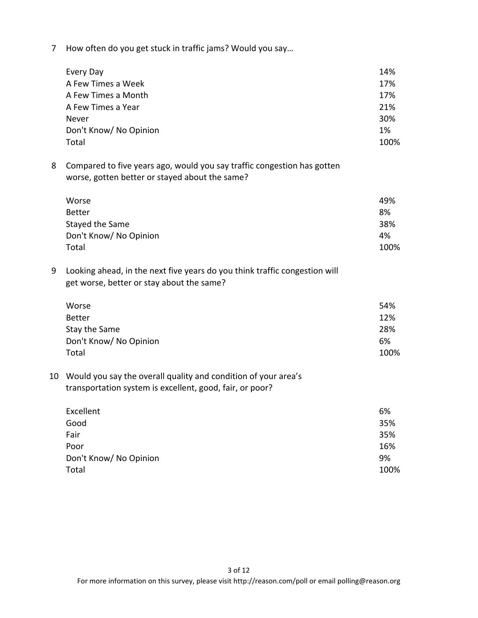7 How often do you get stuck in traffic jams? Would you say...

| Every Day              | 14%  |
|------------------------|------|
| A Few Times a Week     | 17%  |
| A Few Times a Month    | 17%  |
| A Few Times a Year     | 21%  |
| Never                  | 30%  |
| Don't Know/ No Opinion | 1%   |
| Total                  | 100% |

8 Compared to five years ago, would you say traffic congestion has gotten worse, gotten better or stayed about the same?

| Worse                  | 49%  |
|------------------------|------|
| Better                 | 8%   |
| Stayed the Same        | 38%  |
| Don't Know/ No Opinion | 4%   |
| Total                  | 100% |

9 Looking ahead, in the next five years do you think traffic congestion will get worse, better or stay about the same?

| Worse                  | 54%  |
|------------------------|------|
| Better                 | 12%  |
| Stay the Same          | 28%  |
| Don't Know/ No Opinion | 6%   |
| Total                  | 100% |

# 10 Would you say the overall quality and condition of your area's transportation system is excellent, good, fair, or poor?

| Excellent              | 6%   |
|------------------------|------|
| Good                   | 35%  |
| Fair                   | 35%  |
| Poor                   | 16%  |
| Don't Know/ No Opinion | 9%   |
| Total                  | 100% |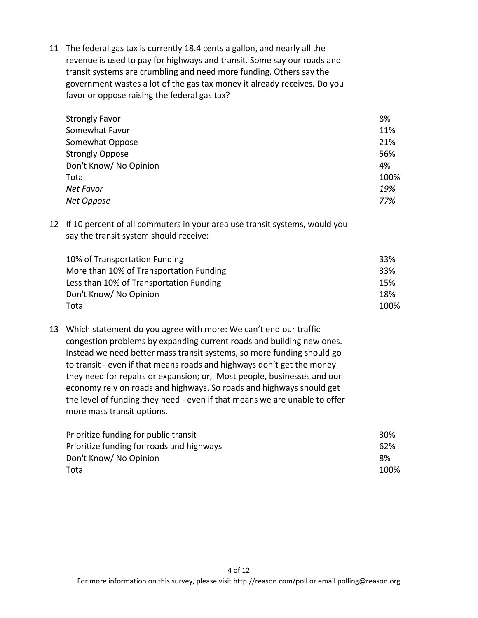11 The federal gas tax is currently 18.4 cents a gallon, and nearly all the revenue is used to pay for highways and transit. Some say our roads and transit systems are crumbling and need more funding. Others say the government wastes a lot of the gas tax money it already receives. Do you favor or oppose raising the federal gas tax?

| <b>Strongly Favor</b>  | 8%   |
|------------------------|------|
| Somewhat Favor         | 11%  |
| Somewhat Oppose        | 21%  |
| <b>Strongly Oppose</b> | 56%  |
| Don't Know/ No Opinion | 4%   |
| Total                  | 100% |
| Net Favor              | 19%  |
| Net Oppose             | 77%  |

12 If 10 percent of all commuters in your area use transit systems, would you say the transit system should receive:

| 10% of Transportation Funding           | 33%  |
|-----------------------------------------|------|
| More than 10% of Transportation Funding | 33%  |
| Less than 10% of Transportation Funding | 15%  |
| Don't Know/ No Opinion                  | 18%  |
| Total                                   | 100% |

13 Which statement do you agree with more: We can't end our traffic congestion problems by expanding current roads and building new ones. Instead we need better mass transit systems, so more funding should go to transit - even if that means roads and highways don't get the money they need for repairs or expansion; or, Most people, businesses and our economy rely on roads and highways. So roads and highways should get the level of funding they need - even if that means we are unable to offer more mass transit options.

| Prioritize funding for public transit     | 30%  |
|-------------------------------------------|------|
| Prioritize funding for roads and highways | 62%  |
| Don't Know/ No Opinion                    | 8%   |
| Total                                     | 100% |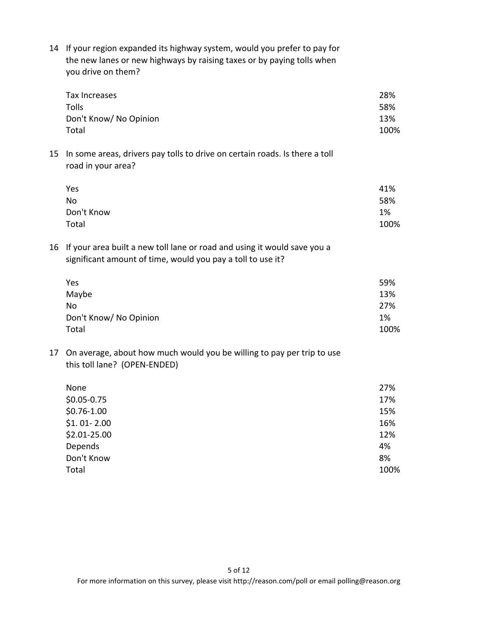| 14 If your region expanded its highway system, would you prefer to pay for |
|----------------------------------------------------------------------------|
| the new lanes or new highways by raising taxes or by paying tolls when     |
| you drive on them?                                                         |

|    | Tax Increases<br><b>Tolls</b><br>Don't Know/ No Opinion<br>Total                                                                        | 28%<br>58%<br>13%<br>100% |
|----|-----------------------------------------------------------------------------------------------------------------------------------------|---------------------------|
| 15 | In some areas, drivers pay tolls to drive on certain roads. Is there a toll<br>road in your area?                                       |                           |
|    | Yes<br><b>No</b><br>Don't Know<br>Total                                                                                                 | 41%<br>58%<br>1%<br>100%  |
| 16 | If your area built a new toll lane or road and using it would save you a<br>significant amount of time, would you pay a toll to use it? |                           |
|    | Yes                                                                                                                                     | 59%                       |
|    | Maybe                                                                                                                                   | 13%                       |
|    | <b>No</b>                                                                                                                               | 27%                       |
|    | Don't Know/ No Opinion<br>Total                                                                                                         | 1%<br>100%                |
| 17 | On average, about how much would you be willing to pay per trip to use<br>this toll lane? (OPEN-ENDED)                                  |                           |
|    | None                                                                                                                                    | 27%                       |
|    | $$0.05 - 0.75$                                                                                                                          | 17%                       |
|    | $$0.76-1.00$                                                                                                                            | 15%                       |
|    | $$1.01-2.00$                                                                                                                            | 16%                       |
|    | \$2.01-25.00                                                                                                                            | 12%                       |
|    | Depends                                                                                                                                 | 4%                        |
|    | Don't Know                                                                                                                              | 8%                        |
|    | Total                                                                                                                                   | 100%                      |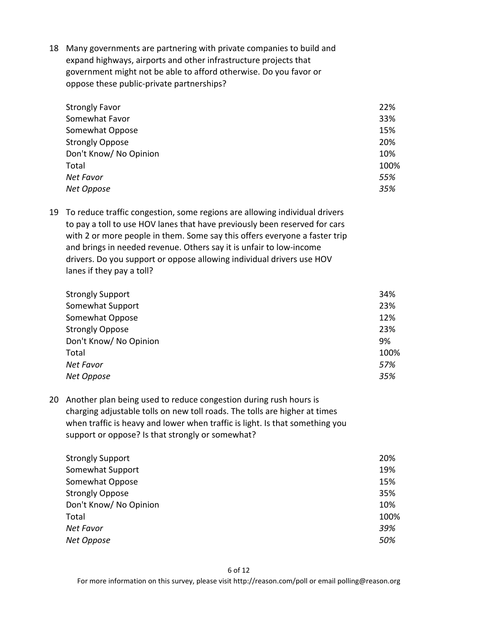18 Many governments are partnering with private companies to build and expand highways, airports and other infrastructure projects that government might not be able to afford otherwise. Do you favor or oppose these public-private partnerships?

| <b>Strongly Favor</b>  | 22%  |
|------------------------|------|
| Somewhat Favor         | 33%  |
| Somewhat Oppose        | 15%  |
| <b>Strongly Oppose</b> | 20%  |
| Don't Know/ No Opinion | 10%  |
| Total                  | 100% |
| Net Favor              | 55%  |
| Net Oppose             | 35%  |

19 To reduce traffic congestion, some regions are allowing individual drivers to pay a toll to use HOV lanes that have previously been reserved for cars with 2 or more people in them. Some say this offers everyone a faster trip and brings in needed revenue. Others say it is unfair to low-income drivers. Do you support or oppose allowing individual drivers use HOV lanes if they pay a toll?

| <b>Strongly Support</b> | 34%  |
|-------------------------|------|
| Somewhat Support        | 23%  |
| Somewhat Oppose         | 12%  |
| <b>Strongly Oppose</b>  | 23%  |
| Don't Know/ No Opinion  | 9%   |
| Total                   | 100% |
| Net Favor               | 57%  |
| Net Oppose              | 35%  |

20 Another plan being used to reduce congestion during rush hours is charging adjustable tolls on new toll roads. The tolls are higher at times when traffic is heavy and lower when traffic is light. Is that something you support or oppose? Is that strongly or somewhat?

| 20%  |
|------|
| 19%  |
| 15%  |
| 35%  |
| 10%  |
| 100% |
| 39%  |
| 50%  |
|      |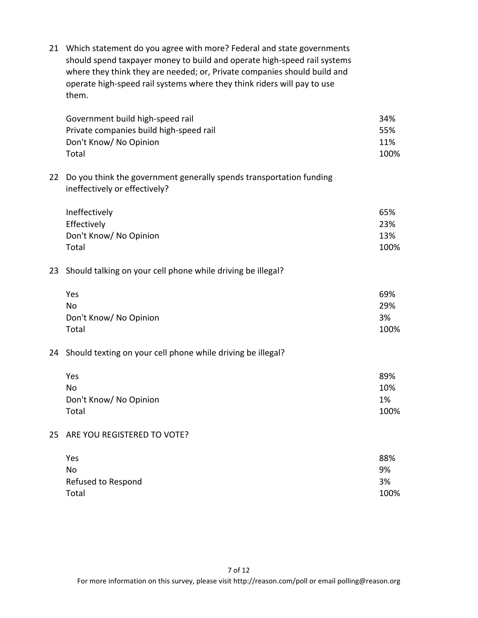21 Which statement do you agree with more? Federal and state governments should spend taxpayer money to build and operate high-speed rail systems where they think they are needed; or, Private companies should build and operate high-speed rail systems where they think riders will pay to use them.

| Government build high-speed rail                                                                        | 34%  |
|---------------------------------------------------------------------------------------------------------|------|
| Private companies build high-speed rail                                                                 | 55%  |
| Don't Know/ No Opinion                                                                                  | 11%  |
| Total                                                                                                   | 100% |
| 22 Do you think the government generally spends transportation funding<br>ineffectively or effectively? |      |

| Ineffectively          | 65%  |
|------------------------|------|
| Effectively            | 23%  |
| Don't Know/ No Opinion | 13%  |
| Total                  | 100% |

# 23 Should talking on your cell phone while driving be illegal?

| Yes                    | 69%  |
|------------------------|------|
| No                     | 29%  |
| Don't Know/ No Opinion | 3%   |
| Total                  | 100% |

# 24 Should texting on your cell phone while driving be illegal?

| Yes                    | 89%  |
|------------------------|------|
| No                     | 10%  |
| Don't Know/ No Opinion | 1%   |
| Total                  | 100% |

# 25 ARE YOU REGISTERED TO VOTE?

| Yes                | 88%  |
|--------------------|------|
| No                 | 9%   |
| Refused to Respond | 3%   |
| Total              | 100% |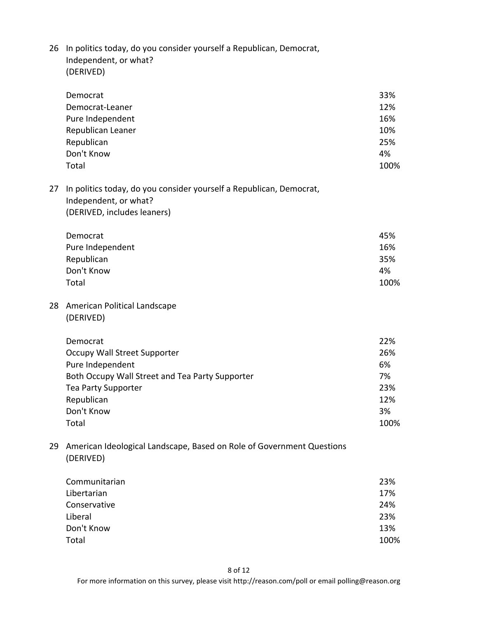26 In politics today, do you consider yourself a Republican, Democrat, Independent, or what? (DERIVED)

|    | Democrat<br>Democrat-Leaner<br>Pure Independent<br>Republican Leaner<br>Republican                                          | 33%<br>12%<br>16%<br>10%<br>25% |
|----|-----------------------------------------------------------------------------------------------------------------------------|---------------------------------|
|    | Don't Know<br>Total                                                                                                         | 4%<br>100%                      |
| 27 | In politics today, do you consider yourself a Republican, Democrat,<br>Independent, or what?<br>(DERIVED, includes leaners) |                                 |
|    | Democrat                                                                                                                    | 45%                             |
|    | Pure Independent                                                                                                            | 16%                             |
|    | Republican                                                                                                                  | 35%                             |
|    | Don't Know                                                                                                                  | 4%                              |
|    | Total                                                                                                                       | 100%                            |
| 28 | American Political Landscape                                                                                                |                                 |
|    | (DERIVED)                                                                                                                   |                                 |
|    | Democrat                                                                                                                    | 22%                             |
|    | Occupy Wall Street Supporter                                                                                                | 26%                             |
|    | Pure Independent                                                                                                            | 6%                              |
|    | Both Occupy Wall Street and Tea Party Supporter                                                                             | 7%                              |
|    | <b>Tea Party Supporter</b>                                                                                                  | 23%                             |
|    | Republican                                                                                                                  | 12%                             |
|    | Don't Know                                                                                                                  | 3%                              |
|    | Total                                                                                                                       | 100%                            |
| 29 | American Ideological Landscape, Based on Role of Government Questions<br>(DERIVED)                                          |                                 |

| 23%  |
|------|
| 17%  |
| 24%  |
| 23%  |
| 13%  |
| 100% |
|      |

8 of 12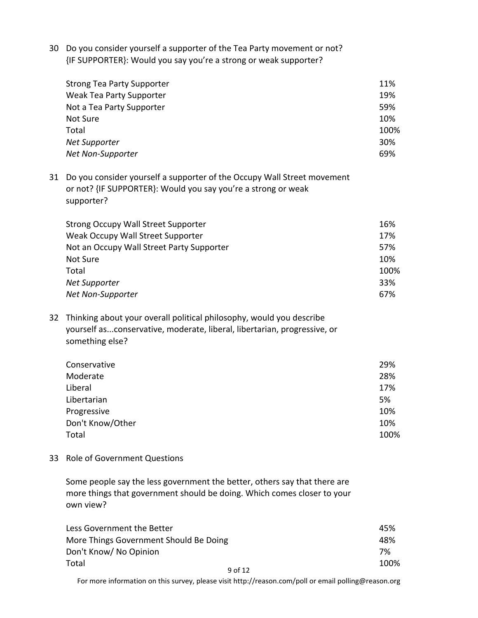30 Do you consider yourself a supporter of the Tea Party movement or not? {IF SUPPORTER}: Would you say you're a strong or weak supporter?

| <b>Strong Tea Party Supporter</b> | 11%  |
|-----------------------------------|------|
| Weak Tea Party Supporter          | 19%  |
| Not a Tea Party Supporter         | 59%  |
| Not Sure                          | 10%  |
| Total                             | 100% |
| Net Supporter                     | 30%  |
| Net Non-Supporter                 | 69%  |

31 Do you consider yourself a supporter of the Occupy Wall Street movement or not? {IF SUPPORTER}: Would you say you're a strong or weak supporter?

| <b>Strong Occupy Wall Street Supporter</b> | 16%  |
|--------------------------------------------|------|
| Weak Occupy Wall Street Supporter          | 17%  |
| Not an Occupy Wall Street Party Supporter  | 57%  |
| Not Sure                                   | 10%  |
| Total                                      | 100% |
| Net Supporter                              | 33%  |
| Net Non-Supporter                          | 67%  |

32 Thinking about your overall political philosophy, would you describe yourself as...conservative, moderate, liberal, libertarian, progressive, or something else?

| Conservative     | 29%  |
|------------------|------|
| Moderate         | 28%  |
| Liberal          | 17%  |
| Libertarian      | 5%   |
| Progressive      | 10%  |
| Don't Know/Other | 10%  |
| Total            | 100% |
|                  |      |

33 Role of Government Questions

Some people say the less government the better, others say that there are more things that government should be doing. Which comes closer to your own view?

| Less Government the Better             | 45%  |
|----------------------------------------|------|
| More Things Government Should Be Doing | 48%  |
| Don't Know/ No Opinion                 | 7%   |
| Total<br>9 of 12                       | 100% |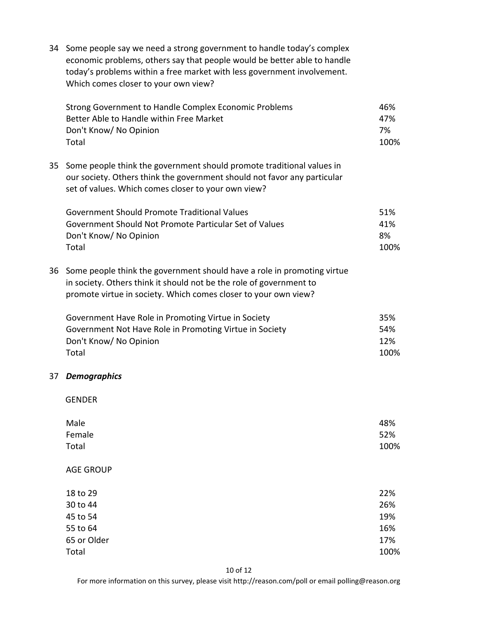| 34 | Some people say we need a strong government to handle today's complex<br>economic problems, others say that people would be better able to handle<br>today's problems within a free market with less government involvement.<br>Which comes closer to your own view? |                                         |
|----|----------------------------------------------------------------------------------------------------------------------------------------------------------------------------------------------------------------------------------------------------------------------|-----------------------------------------|
|    | Strong Government to Handle Complex Economic Problems<br>Better Able to Handle within Free Market<br>Don't Know/ No Opinion<br>Total                                                                                                                                 | 46%<br>47%<br>7%<br>100%                |
| 35 | Some people think the government should promote traditional values in<br>our society. Others think the government should not favor any particular<br>set of values. Which comes closer to your own view?                                                             |                                         |
|    | <b>Government Should Promote Traditional Values</b><br>Government Should Not Promote Particular Set of Values<br>Don't Know/ No Opinion<br>Total                                                                                                                     | 51%<br>41%<br>8%<br>100%                |
| 36 | Some people think the government should have a role in promoting virtue<br>in society. Others think it should not be the role of government to<br>promote virtue in society. Which comes closer to your own view?                                                    |                                         |
|    | Government Have Role in Promoting Virtue in Society<br>Government Not Have Role in Promoting Virtue in Society<br>Don't Know/ No Opinion<br>Total                                                                                                                    | 35%<br>54%<br>12%<br>100%               |
| 37 | <b>Demographics</b>                                                                                                                                                                                                                                                  |                                         |
|    | <b>GENDER</b>                                                                                                                                                                                                                                                        |                                         |
|    | Male<br>Female<br>Total                                                                                                                                                                                                                                              | 48%<br>52%<br>100%                      |
|    | <b>AGE GROUP</b>                                                                                                                                                                                                                                                     |                                         |
|    | 18 to 29<br>30 to 44<br>45 to 54<br>55 to 64<br>65 or Older<br>Total                                                                                                                                                                                                 | 22%<br>26%<br>19%<br>16%<br>17%<br>100% |
|    |                                                                                                                                                                                                                                                                      |                                         |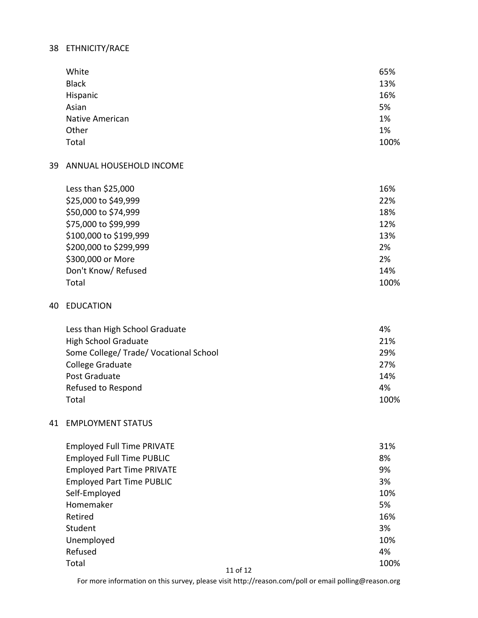# 38 ETHNICITY/RACE

| White                  | 65%  |
|------------------------|------|
| <b>Black</b>           | 13%  |
| Hispanic               | 16%  |
| Asian                  | 5%   |
| <b>Native American</b> | 1%   |
| Other                  | 1%   |
| Total                  | 100% |

#### 39 ANNUAL HOUSEHOLD INCOME

| Less than $$25,000$    | 16%  |
|------------------------|------|
| \$25,000 to \$49,999   | 22%  |
| \$50,000 to \$74,999   | 18%  |
| \$75,000 to \$99,999   | 12%  |
| \$100,000 to \$199,999 | 13%  |
| \$200,000 to \$299,999 | 2%   |
| \$300,000 or More      | 2%   |
| Don't Know/ Refused    | 14%  |
| Total                  | 100% |

#### 40 EDUCATION

| Less than High School Graduate         | 4%   |
|----------------------------------------|------|
| High School Graduate                   | 21%  |
| Some College/ Trade/ Vocational School | 29%  |
| <b>College Graduate</b>                | 27%  |
| Post Graduate                          | 14%  |
| Refused to Respond                     | 4%   |
| Total                                  | 100% |

### 41 EMPLOYMENT STATUS

| <b>Employed Full Time PRIVATE</b> |          | 31% |      |
|-----------------------------------|----------|-----|------|
| <b>Employed Full Time PUBLIC</b>  |          | 8%  |      |
| <b>Employed Part Time PRIVATE</b> |          | 9%  |      |
| <b>Employed Part Time PUBLIC</b>  |          | 3%  |      |
| Self-Employed                     |          | 10% |      |
| Homemaker                         |          | 5%  |      |
| Retired                           |          | 16% |      |
| Student                           |          | 3%  |      |
| Unemployed                        |          | 10% |      |
| Refused                           |          | 4%  |      |
| Total                             |          |     | 100% |
|                                   | 11 of 12 |     |      |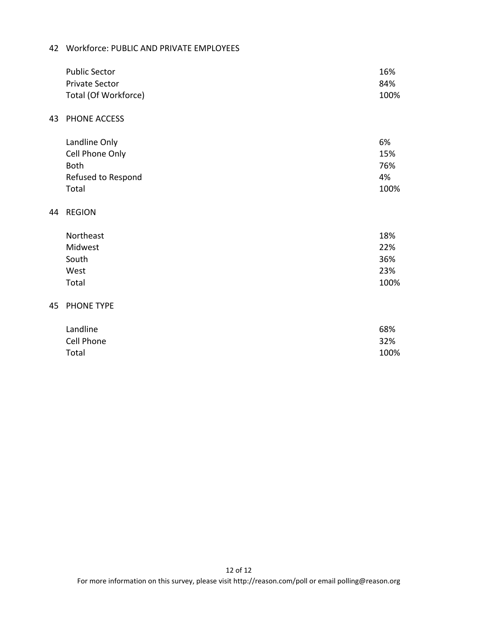# 42 Workforce: PUBLIC AND PRIVATE EMPLOYEES

|    | <b>Public Sector</b><br><b>Private Sector</b><br>Total (Of Workforce)          | 16%<br>84%<br>100%               |
|----|--------------------------------------------------------------------------------|----------------------------------|
| 43 | PHONE ACCESS                                                                   |                                  |
|    | Landline Only<br>Cell Phone Only<br><b>Both</b><br>Refused to Respond<br>Total | 6%<br>15%<br>76%<br>4%<br>100%   |
| 44 | <b>REGION</b>                                                                  |                                  |
|    | Northeast<br>Midwest<br>South<br>West<br>Total                                 | 18%<br>22%<br>36%<br>23%<br>100% |
| 45 | PHONE TYPE                                                                     |                                  |
|    | Landline<br>Cell Phone<br>Total                                                | 68%<br>32%<br>100%               |